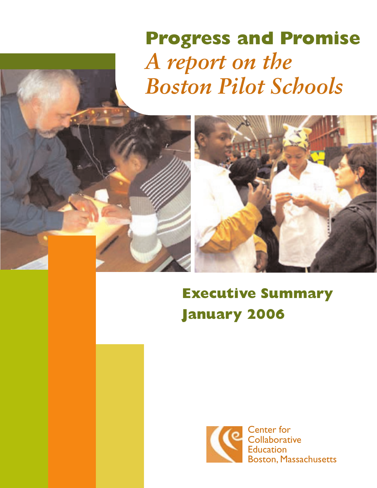# **Progress and Promise** *A report on the Boston Pilot Schools*



# **Executive Summary January 2006**

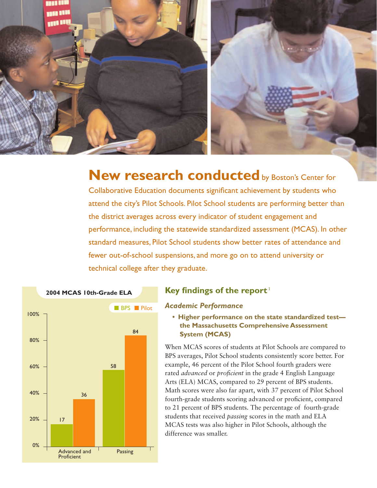

**New research conducted** by Boston's Center for

Collaborative Education documents significant achievement by students who attend the city's Pilot Schools. Pilot School students are performing better than the district averages across every indicator of student engagement and performance, including the statewide standardized assessment (MCAS). In other standard measures, Pilot School students show better rates of attendance and fewer out-of-school suspensions, and more go on to attend university or technical college after they graduate.



#### **Key findings of the report**<sup>1</sup>

#### *Academic Performance*

**• Higher performance on the state standardized test the Massachusetts Comprehensive Assessment System (MCAS)**

When MCAS scores of students at Pilot Schools are compared to BPS averages, Pilot School students consistently score better. For example, 46 percent of the Pilot School fourth graders were rated *advanced* or *proficient* in the grade 4 English Language Arts (ELA) MCAS, compared to 29 percent of BPS students. Math scores were also far apart, with 37 percent of Pilot School fourth-grade students scoring advanced or proficient, compared to 21 percent of BPS students. The percentage of fourth-grade students that received *passing* scores in the math and ELA MCAS tests was also higher in Pilot Schools, although the difference was smaller.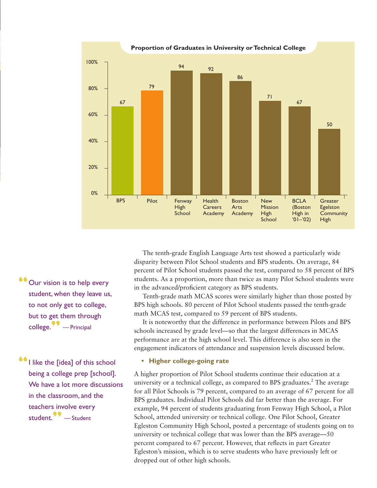

**"**Our vision is to help every student, when they leave us, to not only get to college, but to get them through college.**"** — Principal

**"**I like the [idea] of this school being a college prep [school]. We have a lot more discussions in the classroom, and the teachers involve every student.**"** — Student

The tenth-grade English Language Arts test showed a particularly wide disparity between Pilot School students and BPS students. On average, 84 percent of Pilot School students passed the test, compared to 58 percent of BPS students. As a proportion, more than twice as many Pilot School students were in the advanced/proficient category as BPS students.

Tenth-grade math MCAS scores were similarly higher than those posted by BPS high schools. 80 percent of Pilot School students passed the tenth-grade math MCAS test, compared to 59 percent of BPS students.

It is noteworthy that the difference in performance between Pilots and BPS schools increased by grade level—so that the largest differences in MCAS performance are at the high school level. This difference is also seen in the engagement indicators of attendance and suspension levels discussed below.

#### **• Higher college-going rate**

A higher proportion of Pilot School students continue their education at a university or a technical college, as compared to BPS graduates.<sup>2</sup> The average for all Pilot Schools is 79 percent, compared to an average of 67 percent for all BPS graduates. Individual Pilot Schools did far better than the average. For example, 94 percent of students graduating from Fenway High School, a Pilot School, attended university or technical college. One Pilot School, Greater Egleston Community High School, posted a percentage of students going on to university or technical college that was lower than the BPS average—50 percent compared to 67 percent. However, that reflects in part Greater Egleston's mission, which is to serve students who have previously left or dropped out of other high schools.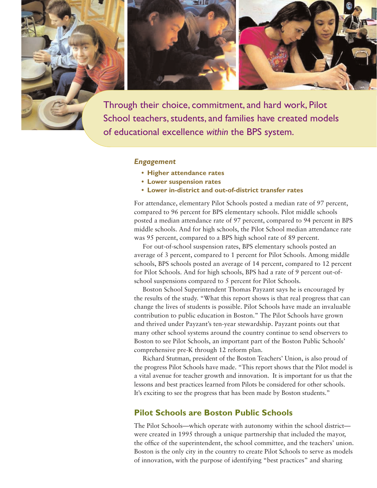

School teachers, students, and families have created models of educational excellence *within* the BPS system.

#### *Engagement*

- **Higher attendance rates**
- **Lower suspension rates**
- **Lower in-district and out-of-district transfer rates**

For attendance, elementary Pilot Schools posted a median rate of 97 percent, compared to 96 percent for BPS elementary schools. Pilot middle schools posted a median attendance rate of 97 percent, compared to 94 percent in BPS middle schools. And for high schools, the Pilot School median attendance rate was 95 percent, compared to a BPS high school rate of 89 percent.

For out-of-school suspension rates, BPS elementary schools posted an average of 3 percent, compared to 1 percent for Pilot Schools. Among middle schools, BPS schools posted an average of 14 percent, compared to 12 percent for Pilot Schools. And for high schools, BPS had a rate of 9 percent out-ofschool suspensions compared to 5 percent for Pilot Schools.

Boston School Superintendent Thomas Payzant says he is encouraged by the results of the study. "What this report shows is that real progress that can change the lives of students is possible. Pilot Schools have made an invaluable contribution to public education in Boston." The Pilot Schools have grown and thrived under Payzant's ten-year stewardship. Payzant points out that many other school systems around the country continue to send observers to Boston to see Pilot Schools, an important part of the Boston Public Schools' comprehensive pre-K through 12 reform plan.

Richard Stutman, president of the Boston Teachers' Union, is also proud of the progress Pilot Schools have made. "This report shows that the Pilot model is a vital avenue for teacher growth and innovation. It is important for us that the lessons and best practices learned from Pilots be considered for other schools. It's exciting to see the progress that has been made by Boston students."

#### **Pilot Schools are Boston Public Schools**

The Pilot Schools—which operate with autonomy within the school district were created in 1995 through a unique partnership that included the mayor, the office of the superintendent, the school committee, and the teachers' union. Boston is the only city in the country to create Pilot Schools to serve as models of innovation, with the purpose of identifying "best practices" and sharing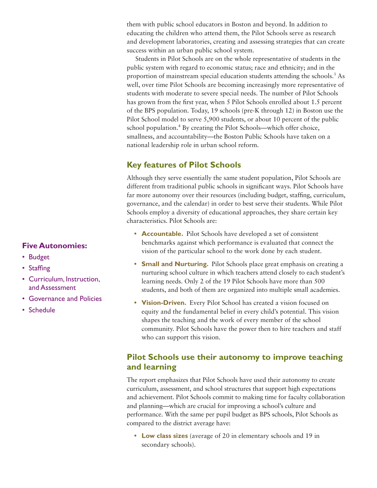them with public school educators in Boston and beyond. In addition to educating the children who attend them, the Pilot Schools serve as research and development laboratories, creating and assessing strategies that can create success within an urban public school system.

Students in Pilot Schools are on the whole representative of students in the public system with regard to economic status; race and ethnicity; and in the proportion of mainstream special education students attending the schools.<sup>3</sup> As well, over time Pilot Schools are becoming increasingly more representative of students with moderate to severe special needs. The number of Pilot Schools has grown from the first year, when 5 Pilot Schools enrolled about 1.5 percent of the BPS population. Today, 19 schools (pre-K through 12) in Boston use the Pilot School model to serve 5,900 students, or about 10 percent of the public school population.<sup>4</sup> By creating the Pilot Schools—which offer choice, smallness, and accountability—the Boston Public Schools have taken on a national leadership role in urban school reform.

### **Key features of Pilot Schools**

Although they serve essentially the same student population, Pilot Schools are different from traditional public schools in significant ways. Pilot Schools have far more autonomy over their resources (including budget, staffing, curriculum, governance, and the calendar) in order to best serve their students. While Pilot Schools employ a diversity of educational approaches, they share certain key characteristics. Pilot Schools are:

- **Accountable.** Pilot Schools have developed a set of consistent benchmarks against which performance is evaluated that connect the vision of the particular school to the work done by each student.
- **Small and Nurturing.** Pilot Schools place great emphasis on creating a nurturing school culture in which teachers attend closely to each student's learning needs. Only 2 of the 19 Pilot Schools have more than 500 students, and both of them are organized into multiple small academies.
- **Vision-Driven.** Every Pilot School has created a vision focused on equity and the fundamental belief in every child's potential. This vision shapes the teaching and the work of every member of the school community. Pilot Schools have the power then to hire teachers and staff who can support this vision.

## **Pilot Schools use their autonomy to improve teaching and learning**

The report emphasizes that Pilot Schools have used their autonomy to create curriculum, assessment, and school structures that support high expectations and achievement. Pilot Schools commit to making time for faculty collaboration and planning—which are crucial for improving a school's culture and performance. With the same per pupil budget as BPS schools, Pilot Schools as compared to the district average have:

**• Low class sizes** (average of 20 in elementary schools and 19 in secondary schools).

#### **Five Autonomies:**

- Budget
- Staffing
- Curriculum, Instruction, and Assessment
- Governance and Policies
- Schedule